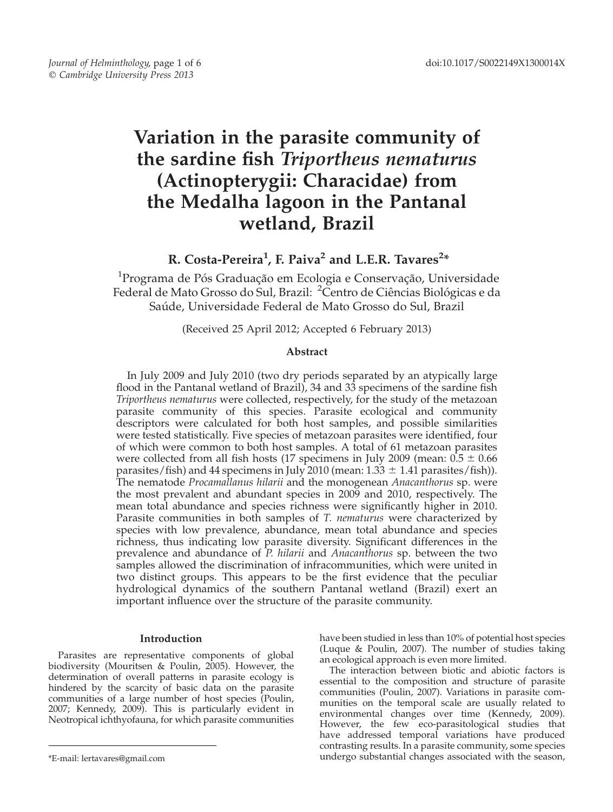# Variation in the parasite community of the sardine fish Triportheus nematurus (Actinopterygii: Characidae) from the Medalha lagoon in the Pantanal wetland, Brazil

# R. Costa-Pereira<sup>1</sup>, F. Paiva<sup>2</sup> and L.E.R. Tavares<sup>2</sup>\*

 $^{1}$ Programa de Pós Graduação em Ecologia e Conservação, Universidade Federal de Mato Grosso do Sul, Brazil: <sup>2</sup>Centro de Ciências Biológicas e da Saúde, Universidade Federal de Mato Grosso do Sul, Brazil

(Received 25 April 2012; Accepted 6 February 2013)

# Abstract

In July 2009 and July 2010 (two dry periods separated by an atypically large flood in the Pantanal wetland of Brazil), 34 and 33 specimens of the sardine fish Triportheus nematurus were collected, respectively, for the study of the metazoan parasite community of this species. Parasite ecological and community descriptors were calculated for both host samples, and possible similarities were tested statistically. Five species of metazoan parasites were identified, four of which were common to both host samples. A total of 61 metazoan parasites were collected from all fish hosts (17 specimens in July 2009 (mean:  $0.5 \pm 0.66$ ) parasites/fish) and 44 specimens in July 2010 (mean:  $1.33 \pm 1.41$  parasites/fish)). The nematode *Procamallanus hilarii* and the monogenean *Anacanthorus* sp. were the most prevalent and abundant species in 2009 and 2010, respectively. The mean total abundance and species richness were significantly higher in 2010. Parasite communities in both samples of T. nematurus were characterized by species with low prevalence, abundance, mean total abundance and species richness, thus indicating low parasite diversity. Significant differences in the prevalence and abundance of  $\overline{P}$ . *hilarii* and *Anacanthorus* sp. between the two samples allowed the discrimination of infracommunities, which were united in two distinct groups. This appears to be the first evidence that the peculiar hydrological dynamics of the southern Pantanal wetland (Brazil) exert an important influence over the structure of the parasite community.

# Introduction

Parasites are representative components of global biodiversity (Mouritsen & Poulin, 2005). However, the determination of overall patterns in parasite ecology is hindered by the scarcity of basic data on the parasite communities of a large number of host species (Poulin, 2007; Kennedy, 2009). This is particularly evident in Neotropical ichthyofauna, for which parasite communities have been studied in less than 10% of potential host species (Luque & Poulin, 2007). The number of studies taking an ecological approach is even more limited.

The interaction between biotic and abiotic factors is essential to the composition and structure of parasite communities (Poulin, 2007). Variations in parasite communities on the temporal scale are usually related to environmental changes over time (Kennedy, 2009). However, the few eco-parasitological studies that have addressed temporal variations have produced contrasting results. In a parasite community, some species \*E-mail: lertavares@gmail.com undergo substantial changes associated with the season,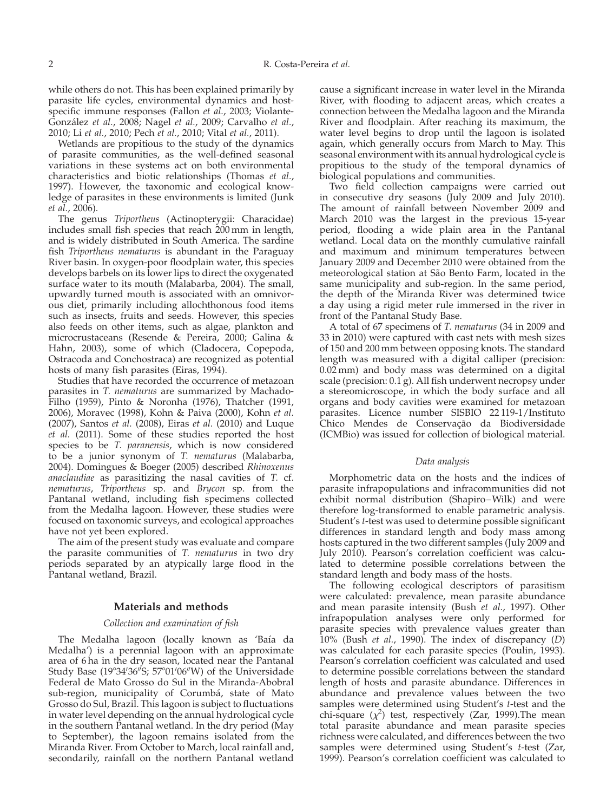while others do not. This has been explained primarily by parasite life cycles, environmental dynamics and hostspecific immune responses (Fallon et al., 2003; Violante-González *et al.,* 2008; Nagel *et al.,* 2009; Carvalho *et al.*, 2010; Li et al., 2010; Pech et al., 2010; Vital et al., 2011).

Wetlands are propitious to the study of the dynamics of parasite communities, as the well-defined seasonal variations in these systems act on both environmental characteristics and biotic relationships (Thomas et al., 1997). However, the taxonomic and ecological knowledge of parasites in these environments is limited (Junk et al., 2006).

The genus Triportheus (Actinopterygii: Characidae) includes small fish species that reach 200 mm in length, and is widely distributed in South America. The sardine fish Triportheus nematurus is abundant in the Paraguay River basin. In oxygen-poor floodplain water, this species develops barbels on its lower lips to direct the oxygenated surface water to its mouth (Malabarba, 2004). The small, upwardly turned mouth is associated with an omnivorous diet, primarily including allochthonous food items such as insects, fruits and seeds. However, this species also feeds on other items, such as algae, plankton and microcrustaceans (Resende & Pereira, 2000; Galina & Hahn, 2003), some of which (Cladocera, Copepoda, Ostracoda and Conchostraca) are recognized as potential hosts of many fish parasites (Eiras, 1994).

Studies that have recorded the occurrence of metazoan parasites in T. nematurus are summarized by Machado-Filho (1959), Pinto & Noronha (1976), Thatcher (1991, 2006), Moravec (1998), Kohn & Paiva (2000), Kohn et al. (2007), Santos et al. (2008), Eiras et al. (2010) and Luque et al. (2011). Some of these studies reported the host species to be T. paranensis, which is now considered to be a junior synonym of T. nematurus (Malabarba, 2004). Domingues & Boeger (2005) described Rhinoxenus anaclaudiae as parasitizing the nasal cavities of T. cf. nematurus, Triportheus sp. and Brycon sp. from the Pantanal wetland, including fish specimens collected from the Medalha lagoon. However, these studies were focused on taxonomic surveys, and ecological approaches have not yet been explored.

The aim of the present study was evaluate and compare the parasite communities of T. nematurus in two dry periods separated by an atypically large flood in the Pantanal wetland, Brazil.

#### Materials and methods

#### Collection and examination of fish

The Medalha lagoon (locally known as 'Baía da Medalha') is a perennial lagoon with an approximate area of 6 ha in the dry season, located near the Pantanal Study Base (19°34′36″S; 57°01′06″W) of the Universidade Federal de Mato Grosso do Sul in the Miranda-Abobral sub-region, municipality of Corumbá, state of Mato Grosso do Sul, Brazil. This lagoon is subject to fluctuations in water level depending on the annual hydrological cycle in the southern Pantanal wetland. In the dry period (May to September), the lagoon remains isolated from the Miranda River. From October to March, local rainfall and, secondarily, rainfall on the northern Pantanal wetland

cause a significant increase in water level in the Miranda River, with flooding to adjacent areas, which creates a connection between the Medalha lagoon and the Miranda River and floodplain. After reaching its maximum, the water level begins to drop until the lagoon is isolated again, which generally occurs from March to May. This seasonal environment with its annual hydrological cycle is propitious to the study of the temporal dynamics of biological populations and communities.

Two field collection campaigns were carried out in consecutive dry seasons  $($  $\overline{J}ul\overline{y}$  2009 and  $\overline{J}ul\overline{y}$  2010). The amount of rainfall between November 2009 and March 2010 was the largest in the previous 15-year period, flooding a wide plain area in the Pantanal wetland. Local data on the monthly cumulative rainfall and maximum and minimum temperatures between January 2009 and December 2010 were obtained from the meteorological station at São Bento Farm, located in the same municipality and sub-region. In the same period, the depth of the Miranda River was determined twice a day using a rigid meter rule immersed in the river in front of the Pantanal Study Base.

A total of 67 specimens of T. nematurus (34 in 2009 and 33 in 2010) were captured with cast nets with mesh sizes of 150 and 200 mm between opposing knots. The standard length was measured with a digital calliper (precision: 0.02 mm) and body mass was determined on a digital scale (precision: 0.1 g). All fish underwent necropsy under a stereomicroscope, in which the body surface and all organs and body cavities were examined for metazoan parasites. Licence number SISBIO 22 119-1/Instituto Chico Mendes de Conservação da Biodiversidade (ICMBio) was issued for collection of biological material.

#### Data analysis

Morphometric data on the hosts and the indices of parasite infrapopulations and infracommunities did not exhibit normal distribution (Shapiro–Wilk) and were therefore log-transformed to enable parametric analysis. Student's t-test was used to determine possible significant differences in standard length and body mass among hosts captured in the two different samples (July 2009 and July 2010). Pearson's correlation coefficient was calculated to determine possible correlations between the standard length and body mass of the hosts.

The following ecological descriptors of parasitism were calculated: prevalence, mean parasite abundance and mean parasite intensity (Bush et al., 1997). Other infrapopulation analyses were only performed for parasite species with prevalence values greater than  $10\%$  (Bush *et al.,* 1990). The index of discrepancy (D) was calculated for each parasite species (Poulin, 1993). Pearson's correlation coefficient was calculated and used to determine possible correlations between the standard length of hosts and parasite abundance. Differences in abundance and prevalence values between the two samples were determined using Student's t-test and the chi-square  $(\chi^2)$  test, respectively (Zar, 1999). The mean total parasite abundance and mean parasite species richness were calculated, and differences between the two samples were determined using Student's t-test (Zar, 1999). Pearson's correlation coefficient was calculated to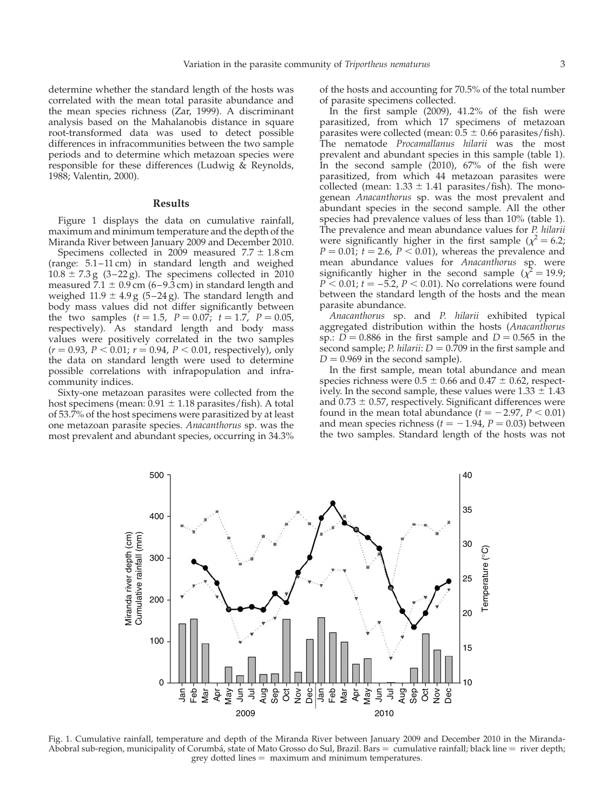determine whether the standard length of the hosts was correlated with the mean total parasite abundance and the mean species richness (Zar, 1999). A discriminant analysis based on the Mahalanobis distance in square root-transformed data was used to detect possible differences in infracommunities between the two sample periods and to determine which metazoan species were responsible for these differences (Ludwig  $\&$  Reynolds, 1988; Valentin, 2000).

### Results

Figure 1 displays the data on cumulative rainfall, maximum and minimum temperature and the depth of the Miranda River between January 2009 and December 2010.

Specimens collected in 2009 measured  $7.7 \pm 1.8$  cm (range: 5.1– 11 cm) in standard length and weighed  $10.8 \pm 7.3$  g (3-22 g). The specimens collected in 2010 measured  $\overline{7.1} \pm 0.9$  cm (6–9.3 cm) in standard length and weighed  $11.9 \pm 4.9$  g (5-24 g). The standard length and body mass values did not differ significantly between the two samples  $(t = 1.5, P = 0.07; t = 1.7, P = 0.05,$ respectively). As standard length and body mass values were positively correlated in the two samples  $(r = 0.93, P < 0.01; r = 0.94, P < 0.01$ , respectively), only the data on standard length were used to determine possible correlations with infrapopulation and infracommunity indices.

Sixty-one metazoan parasites were collected from the host specimens (mean:  $0.91 \pm 1.18$  parasites/fish). A total of 53.7% of the host specimens were parasitized by at least one metazoan parasite species. Anacanthorus sp. was the most prevalent and abundant species, occurring in 34.3%

500

400

of the hosts and accounting for 70.5% of the total number of parasite specimens collected.

In the first sample  $(2009)$ ,  $41.2\%$  of the fish were parasitized, from which 17 specimens of metazoan parasites were collected (mean:  $0.5 \pm 0.66$  parasites/fish). The nematode Procamallanus hilarii was the most prevalent and abundant species in this sample ([table 1\)](#page-3-0). In the second sample  $(2010)$ ,  $67%$  of the fish were parasitized, from which 44 metazoan parasites were collected (mean:  $1.33 \pm 1.41$  parasites/fish). The monogenean Anacanthorus sp. was the most prevalent and abundant species in the second sample. All the other species had prevalence values of less than 10% [\(table 1\)](#page-3-0). The prevalence and mean abundance values for P. hilarii were significantly higher in the first sample ( $\chi^2$  = 6.2;  $P = 0.01$ ;  $t = 2.6$ ,  $P < 0.01$ ), whereas the prevalence and mean abundance values for Anacanthorus sp. were significantly higher in the second sample ( $\chi^2$  = 19.9;  $P < 0.01$ ;  $t = -5.2$ ,  $P < 0.01$ ). No correlations were found between the standard length of the hosts and the mean parasite abundance.

Anacanthorus sp. and P. hilarii exhibited typical aggregated distribution within the hosts (Anacanthorus sp.:  $D = 0.886$  in the first sample and  $D = 0.565$  in the second sample; *P. hilarii*:  $D = 0.709$  in the first sample and  $D = 0.969$  in the second sample).

In the first sample, mean total abundance and mean species richness were  $0.5 \pm 0.66$  and  $0.47 \pm 0.62$ , respectively. In the second sample, these values were  $1.33 \pm 1.43$ and  $0.73 \pm 0.57$ , respectively. Significant differences were found in the mean total abundance  $(t = -2.97, P < 0.01)$ and mean species richness ( $t = -1.94$ ,  $P = 0.03$ ) between the two samples. Standard length of the hosts was not

40

35

Miranda river depth (cm)<br>Cumulative rainfall (mm) Miranda river depth (cm) Cumulative rainfall (mm) 30 emperature (°C) Temperature (°C) 300 25 200 20 100 15  $\Omega$ 10 Nov Dec Mar Apr  $\frac{1}{3}$ Feb Mar Apr  $\bar{z}$ Aug Nov May Jun Aug Sep Oct May Jun Sep õ Dec Jan 운<br>모 ヨ 2009 2010

Fig. 1. Cumulative rainfall, temperature and depth of the Miranda River between January 2009 and December 2010 in the Miranda-Abobral sub-region, municipality of Corumbá, state of Mato Grosso do Sul, Brazil. Bars  $=$  cumulative rainfall; black line  $=$  river depth;  $grey$  dotted lines  $=$  maximum and minimum temperatures.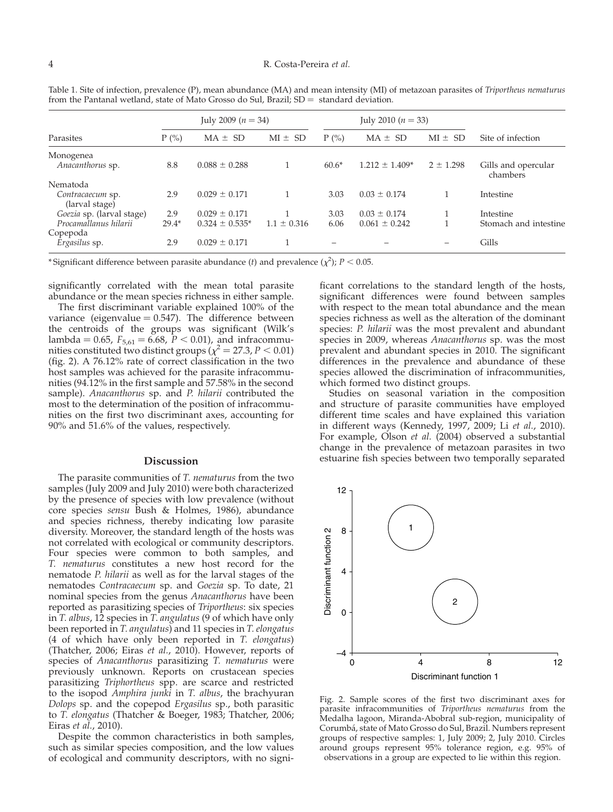#### <span id="page-3-0"></span>4 R. Costa-Pereira et al.

| Parasites                                          | July 2009 ( $n = 34$ ) |                                         |                 | July 2010 ( $n = 33$ ) |                                       |               |                                    |
|----------------------------------------------------|------------------------|-----------------------------------------|-----------------|------------------------|---------------------------------------|---------------|------------------------------------|
|                                                    | $P(\%)$                | $MA \pm SD$                             | $MI \pm SD$     | $P(\%)$                | $MA \pm SD$                           | $MI \pm SD$   | Site of infection                  |
| Monogenea<br>Anacanthorus sp.                      | 8.8                    | $0.088 \pm 0.288$                       |                 | $60.6*$                | $1.212 \pm 1.409*$                    | $2 \pm 1.298$ | Gills and opercular<br>chambers    |
| Nematoda<br>Contracaecum sp.<br>(larval stage)     | 2.9                    | $0.029 \pm 0.171$                       |                 | 3.03                   | $0.03 \pm 0.174$                      |               | Intestine                          |
| Goezia sp. (larval stage)<br>Procamallanus hilarii | 2.9<br>$29.4*$         | $0.029 \pm 0.171$<br>$0.324 \pm 0.535*$ | $1.1 \pm 0.316$ | 3.03<br>6.06           | $0.03 \pm 0.174$<br>$0.061 \pm 0.242$ |               | Intestine<br>Stomach and intestine |
| Copepoda<br>Ergasilus sp.                          | 2.9                    | $0.029 \pm 0.171$                       |                 |                        |                                       | -             | Gills                              |

Table 1. Site of infection, prevalence (P), mean abundance (MA) and mean intensity (MI) of metazoan parasites of Triportheus nematurus from the Pantanal wetland, state of Mato Grosso do Sul, Brazil;  $SD =$  standard deviation.

\*Significant difference between parasite abundance (*t*) and prevalence ( $\chi^2$ ); *P* < 0.05.

significantly correlated with the mean total parasite abundance or the mean species richness in either sample.

The first discriminant variable explained 100% of the variance (eigenvalue  $= 0.547$ ). The difference between the centroids of the groups was significant (Wilk's lambda = 0.65,  $F_{5,61} = 6.68$ ,  $P < 0.01$ ), and infracommunities constituted two distinct groups  $\chi^2 = 27.3$ ,  $P < 0.01$ ) (fig. 2). A 76.12% rate of correct classification in the two host samples was achieved for the parasite infracommunities (94.12% in the first sample and 57.58% in the second sample). Anacanthorus sp. and P. hilarii contributed the most to the determination of the position of infracommunities on the first two discriminant axes, accounting for 90% and 51.6% of the values, respectively.

#### Discussion

The parasite communities of T. nematurus from the two samples (July 2009 and July 2010) were both characterized by the presence of species with low prevalence (without core species sensu Bush & Holmes, 1986), abundance and species richness, thereby indicating low parasite diversity. Moreover, the standard length of the hosts was not correlated with ecological or community descriptors. Four species were common to both samples, and T. nematurus constitutes a new host record for the nematode P. hilarii as well as for the larval stages of the nematodes Contracaecum sp. and Goezia sp. To date, 21 nominal species from the genus Anacanthorus have been reported as parasitizing species of Triportheus: six species in T. albus, 12 species in T. angulatus (9 of which have only been reported in T. angulatus) and 11 species in T. elongatus (4 of which have only been reported in T. elongatus) (Thatcher, 2006; Eiras et al., 2010). However, reports of species of Anacanthorus parasitizing T. nematurus were previously unknown. Reports on crustacean species parasitizing Triphortheus spp. are scarce and restricted to the isopod *Amphira junki* in T. albus, the brachyuran Dolops sp. and the copepod Ergasilus sp., both parasitic to T. elongatus (Thatcher & Boeger, 1983; Thatcher, 2006; Eiras *et al.*, 2010).

Despite the common characteristics in both samples, such as similar species composition, and the low values of ecological and community descriptors, with no signi-

ficant correlations to the standard length of the hosts, significant differences were found between samples with respect to the mean total abundance and the mean species richness as well as the alteration of the dominant species: P. hilarii was the most prevalent and abundant species in 2009, whereas Anacanthorus sp. was the most prevalent and abundant species in 2010. The significant differences in the prevalence and abundance of these species allowed the discrimination of infracommunities, which formed two distinct groups.

Studies on seasonal variation in the composition and structure of parasite communities have employed different time scales and have explained this variation in different ways (Kennedy, 1997, 2009; Li et al., 2010). For example, Olson et al. (2004) observed a substantial change in the prevalence of metazoan parasites in two estuarine fish species between two temporally separated



Fig. 2. Sample scores of the first two discriminant axes for parasite infracommunities of Triportheus nematurus from the Medalha lagoon, Miranda-Abobral sub-region, municipality of Corumba´, state of Mato Grosso do Sul, Brazil. Numbers represent groups of respective samples: 1, July 2009; 2, July 2010. Circles around groups represent 95% tolerance region, e.g. 95% of observations in a group are expected to lie within this region.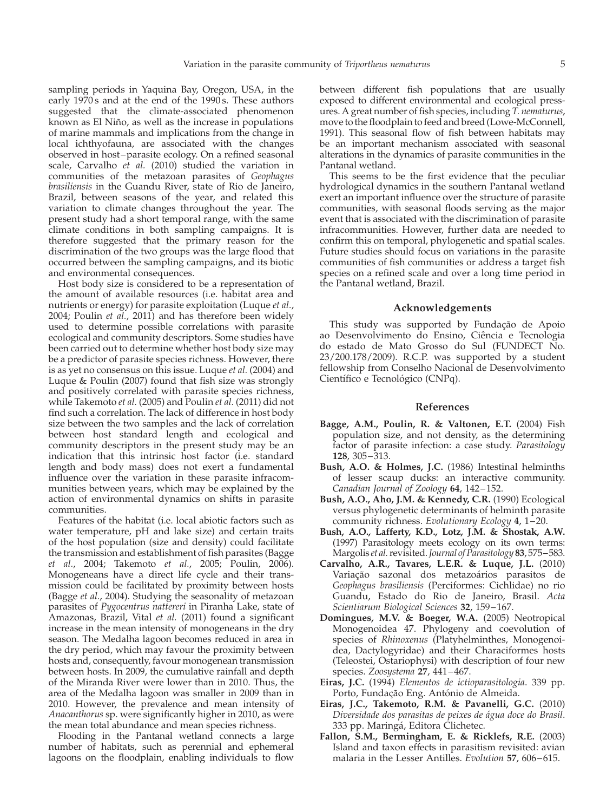sampling periods in Yaquina Bay, Oregon, USA, in the early  $1970s$  and at the end of the 1990s. These authors suggested that the climate-associated phenomenon known as El Niño, as well as the increase in populations of marine mammals and implications from the change in local ichthyofauna, are associated with the changes observed in host-parasite ecology. On a refined seasonal scale, Carvalho  $e\bar{t}$  al. (2010) studied the variation in communities of the metazoan parasites of Geophagus brasiliensis in the Guandu River, state of Rio de Janeiro, Brazil, between seasons of the year, and related this variation to climate changes throughout the year. The present study had a short temporal range, with the same climate conditions in both sampling campaigns. It is therefore suggested that the primary reason for the discrimination of the two groups was the large flood that occurred between the sampling campaigns, and its biotic and environmental consequences.

Host body size is considered to be a representation of the amount of available resources (i.e. habitat area and nutrients or energy) for parasite exploitation (Luque et al., 2004; Poulin et al., 2011) and has therefore been widely used to determine possible correlations with parasite ecological and community descriptors. Some studies have been carried out to determine whether host body size may be a predictor of parasite species richness. However, there is as yet no consensus on this issue. Luque *et al.* (2004) and Luque & Poulin (2007) found that fish size was strongly and positively correlated with parasite species richness, while Takemoto et al. (2005) and Poulin et al. (2011) did not find such a correlation. The lack of difference in host body size between the two samples and the lack of correlation between host standard length and ecological and community descriptors in the present study may be an indication that this intrinsic host factor (i.e. standard length and body mass) does not exert a fundamental influence over the variation in these parasite infracommunities between years, which may be explained by the action of environmental dynamics on shifts in parasite communities.

Features of the habitat (i.e. local abiotic factors such as water temperature, pH and lake size) and certain traits of the host population (size and density) could facilitate the transmission and establishment of fish parasites (Bagge et al., 2004; Takemoto et al., 2005; Poulin, 2006). Monogeneans have a direct life cycle and their transmission could be facilitated by proximity between hosts (Bagge et al., 2004). Studying the seasonality of metazoan parasites of Pygocentrus nattereri in Piranha Lake, state of Amazonas, Brazil, Vital et al. (2011) found a significant increase in the mean intensity of monogeneans in the dry season. The Medalha lagoon becomes reduced in area in the dry period, which may favour the proximity between hosts and, consequently, favour monogenean transmission between hosts. In 2009, the cumulative rainfall and depth of the Miranda River were lower than in 2010. Thus, the area of the Medalha lagoon was smaller in 2009 than in 2010. However, the prevalence and mean intensity of Anacanthorus sp. were significantly higher in 2010, as were the mean total abundance and mean species richness.

Flooding in the Pantanal wetland connects a large number of habitats, such as perennial and ephemeral lagoons on the floodplain, enabling individuals to flow

between different fish populations that are usually exposed to different environmental and ecological pressures. A great number of fish species, including T. nematurus, move to the floodplain to feed and breed (Lowe-McConnell, 1991). This seasonal flow of fish between habitats may be an important mechanism associated with seasonal alterations in the dynamics of parasite communities in the Pantanal wetland.

This seems to be the first evidence that the peculiar hydrological dynamics in the southern Pantanal wetland exert an important influence over the structure of parasite communities, with seasonal floods serving as the major event that is associated with the discrimination of parasite infracommunities. However, further data are needed to confirm this on temporal, phylogenetic and spatial scales. Future studies should focus on variations in the parasite communities of fish communities or address a target fish species on a refined scale and over a long time period in the Pantanal wetland, Brazil.

## Acknowledgements

This study was supported by Fundação de Apoio ao Desenvolvimento do Ensino, Ciência e Tecnologia do estado de Mato Grosso do Sul (FUNDECT No. 23/200.178/2009). R.C.P. was supported by a student fellowship from Conselho Nacional de Desenvolvimento Científico e Tecnológico (CNPq).

# References

- Bagge, A.M., Poulin, R. & Valtonen, E.T. (2004) Fish population size, and not density, as the determining factor of parasite infection: a case study. Parasitology 128, 305– 313.
- Bush, A.O. & Holmes, J.C. (1986) Intestinal helminths of lesser scaup ducks: an interactive community. Canadian Journal of Zoology 64, 142-152.
- Bush, A.O., Aho, J.M. & Kennedy, C.R. (1990) Ecological versus phylogenetic determinants of helminth parasite community richness. Evolutionary Ecology 4, 1-20.
- Bush, A.O., Lafferty, K.D., Lotz, J.M. & Shostak, A.W. (1997) Parasitology meets ecology on its own terms: Margolis et al. revisited. Journal of Parasitology 83, 575–583.
- Carvalho, A.R., Tavares, L.E.R. & Luque, J.L. (2010) Variação sazonal dos metazoários parasitos de Geophagus brasiliensis (Perciformes: Cichlidae) no rio Guandu, Estado do Rio de Janeiro, Brasil. Acta Scientiarum Biological Sciences 32, 159-167.
- Domingues, M.V. & Boeger, W.A. (2005) Neotropical Monogenoidea 47. Phylogeny and coevolution of species of Rhinoxenus (Platyhelminthes, Monogenoidea, Dactylogyridae) and their Characiformes hosts (Teleostei, Ostariophysi) with description of four new species. Zoosystema 27, 441-467.
- Eiras, J.C. (1994) Elementos de ictioparasitologia. 339 pp. Porto, Fundação Eng. António de Almeida.
- Eiras, J.C., Takemoto, R.M. & Pavanelli, G.C. (2010) Diversidade dos parasitas de peixes de água doce do Brasil. 333 pp. Maringá, Editora Clichetec.
- Fallon, S.M., Bermingham, E. & Ricklefs, R.E. (2003) Island and taxon effects in parasitism revisited: avian malaria in the Lesser Antilles. Evolution 57, 606-615.